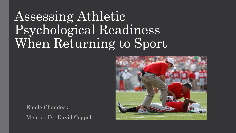# Assessing Athletic Psychological Readiness When Returning to Sport



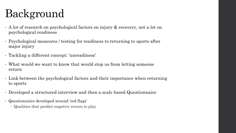# Background

- A lot of research on psychological factors on injury & recovery, not a lot on psychological readiness
- Psychological measures / testing for readiness to returning to sports after major injury
- Tackling a different concept: 'unreadiness'
- What would we want to know that would stop us from letting someone return
- Link between the psychological factors and their importance when returning to sports
- Developed a structured interview and then a scale based Questionnaire
- Questionnaire developed around 'red flags'
	- Qualities that predict negative return to play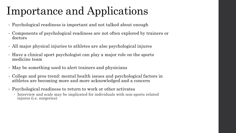## Importance and Applications

- Psychological readiness is important and not talked about enough
- Components of psychological readiness are not often explored by trainers or doctors
- All major physical injuries to athletes are also psychological injures
- Have a clinical sport psychologist can play a major role on the sports medicine team
- May be something used to alert trainers and physicians
- College and pros trend: mental health issues and psychological factors in athletes are becoming more and more acknowledged and a concern
- Psychological readiness to return to work or other activates
	- Interview and scale may be implicated for individuals with non-sports related injures (i.e. surgeries)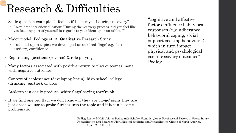#### Research & Difficulties

- Scale question example: "I feel as if I lost myself during recovery"
	- Correlated interview question: "During the recovery process, did you feel like you lost any part of yourself in regards to your identity as an athlete?"
- Major model: Podlogs et. Al Qualitative Research Study
	- Touched upon topics we developed as our 'red flags' e.g. fear, anxiety, confidence
- Rephrasing questions (reverse) & role playing
- Many factors associated with positive return to play outcomes, none with negative outcomes
- Context of adolescence (developing brain), high school, college (drinking, parties), or pros
- Athletes can easily produce 'white flags' saying they're ok
- If we find one red flag, we don't know if they are 'no-go' signs they are just areas we use to probe further into the topic and if it can become problematic

Podlog, Leslie & Heil, John & Podlog (née Schulte, Stefanie. (2014). Psychosocial Factors in Sports Injury Rehabilitation and Return to Play. Physical Medicine and Rehabilitation Clinics of North America. 10.1016/j.pmr.2014.06.011.

"cognitive and affective factors influence behavioral responses (e.g. adherance, behavioral coping, social support seeking behaviors,) which in turn impact physical and psychological social recovery outcomes" - Podlog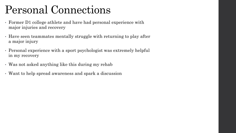#### Personal Connections

- Former D1 college athlete and have had personal experience with major injuries and recovery
- Have seen teammates mentally struggle with returning to play after a major injury
- Personal experience with a sport psychologist was extremely helpful in my recovery
- Was not asked anything like this during my rehab
- Want to help spread awareness and spark a discussion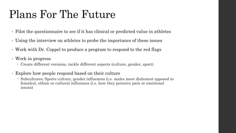### Plans For The Future

- Pilot the questionnaire to see if it has clinical or predicted value in athletes
- Using the interview on athletes to probe the importance of these issues
- Work with Dr. Coppel to produce a program to respond to the red flags
- Work in progress
	- Create different versions, tackle different aspects (culture, gender, sport)
- Explore how people respond based on their culture
	- Subcultures: Sports culture, gender influences (i.e. males more dishonest opposed to females), ethnic or cultural influences (i.e. how they perceive pain or emotional issues)